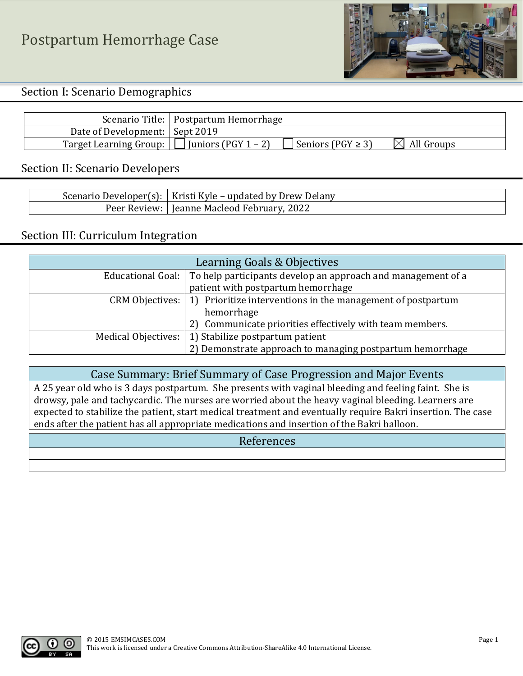Postpartum Hemorrhage Case



Section I: Scenario Demographics

|                                                   | Scenario Title:   Postpartum Hemorrhage |                        |
|---------------------------------------------------|-----------------------------------------|------------------------|
| Date of Development:   Sept 2019                  |                                         |                        |
| Target Learning Group: $\Box$ Juniors (PGY 1 - 2) | Seniors (PGY $\geq$ 3)                  | $\boxtimes$ All Groups |

#### Section II: Scenario Developers

| Scenario Developer(s):   Kristi Kyle – updated by Drew Delany |
|---------------------------------------------------------------|
| Peer Review:   Jeanne Macleod February, 2022                  |

#### Section III: Curriculum Integration

| Learning Goals & Objectives |                                                                                |  |  |
|-----------------------------|--------------------------------------------------------------------------------|--|--|
|                             | Educational Goal: To help participants develop an approach and management of a |  |  |
|                             | patient with postpartum hemorrhage                                             |  |  |
| CRM Objectives:             | 1) Prioritize interventions in the management of postpartum                    |  |  |
|                             | hemorrhage                                                                     |  |  |
|                             | 2) Communicate priorities effectively with team members.                       |  |  |
| Medical Objectives:         | 1) Stabilize postpartum patient                                                |  |  |
|                             | 2) Demonstrate approach to managing postpartum hemorrhage                      |  |  |

Case Summary: Brief Summary of Case Progression and Major Events

A 25 year old who is 3 days postpartum. She presents with vaginal bleeding and feeling faint. She is drowsy, pale and tachycardic. The nurses are worried about the heavy vaginal bleeding. Learners are expected to stabilize the patient, start medical treatment and eventually require Bakri insertion. The case ends after the patient has all appropriate medications and insertion of the Bakri balloon.

#### References

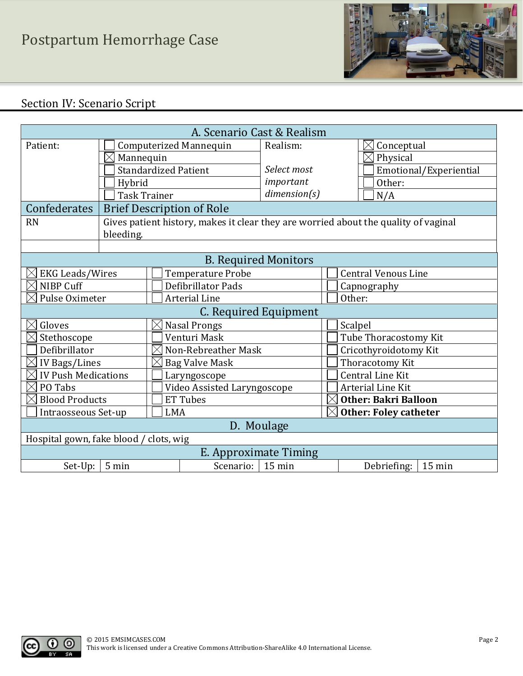

# Section IV: Scenario Script

| A. Scenario Cast & Realism                       |                               |                                                                                     |                             |                              |                            |  |
|--------------------------------------------------|-------------------------------|-------------------------------------------------------------------------------------|-----------------------------|------------------------------|----------------------------|--|
| Patient:                                         | <b>Computerized Mannequin</b> |                                                                                     | Realism:                    |                              | Conceptual<br>$\times$     |  |
|                                                  | $\boxtimes$ Mannequin         |                                                                                     |                             |                              | $\boxtimes$ Physical       |  |
|                                                  |                               | <b>Standardized Patient</b>                                                         | Select most                 |                              | Emotional/Experiential     |  |
|                                                  | Hybrid                        |                                                                                     | important                   |                              | Other:                     |  |
|                                                  |                               | <b>Task Trainer</b>                                                                 | dimension(s)                |                              | N/A                        |  |
| Confederates                                     |                               | <b>Brief Description of Role</b>                                                    |                             |                              |                            |  |
| <b>RN</b>                                        |                               | Gives patient history, makes it clear they are worried about the quality of vaginal |                             |                              |                            |  |
|                                                  | bleeding.                     |                                                                                     |                             |                              |                            |  |
|                                                  |                               |                                                                                     |                             |                              |                            |  |
|                                                  |                               |                                                                                     | <b>B.</b> Required Monitors |                              |                            |  |
| <b>EKG Leads/Wires</b>                           |                               | <b>Temperature Probe</b>                                                            |                             |                              | <b>Central Venous Line</b> |  |
| NIBP Cuff                                        |                               | <b>Defibrillator Pads</b>                                                           |                             |                              | Capnography                |  |
| Pulse Oximeter                                   |                               | <b>Arterial Line</b>                                                                |                             | Other:                       |                            |  |
| C. Required Equipment                            |                               |                                                                                     |                             |                              |                            |  |
| Gloves<br><b>Nasal Prongs</b>                    |                               |                                                                                     | Scalpel                     |                              |                            |  |
| Venturi Mask<br>Stethoscope                      |                               |                                                                                     |                             | Tube Thoracostomy Kit        |                            |  |
| Defibrillator<br>$\times$<br>Non-Rebreather Mask |                               |                                                                                     |                             | Cricothyroidotomy Kit        |                            |  |
| IV Bags/Lines                                    |                               | <b>Bag Valve Mask</b>                                                               |                             |                              | Thoracotomy Kit            |  |
| <b>IV Push Medications</b><br>Laryngoscope       |                               |                                                                                     |                             | <b>Central Line Kit</b>      |                            |  |
| PO Tabs<br>Video Assisted Laryngoscope           |                               |                                                                                     |                             | <b>Arterial Line Kit</b>     |                            |  |
| <b>ET Tubes</b><br><b>Blood Products</b>         |                               |                                                                                     | $\boxtimes$                 | <b>Other: Bakri Balloon</b>  |                            |  |
| Intraosseous Set-up<br><b>LMA</b>                |                               |                                                                                     | $\boxtimes$                 | <b>Other: Foley catheter</b> |                            |  |
| D. Moulage                                       |                               |                                                                                     |                             |                              |                            |  |
| Hospital gown, fake blood / clots, wig           |                               |                                                                                     |                             |                              |                            |  |
| E. Approximate Timing                            |                               |                                                                                     |                             |                              |                            |  |
| 5 min<br>Scenario:<br>Set-Up:                    |                               |                                                                                     | $15 \text{ min}$            |                              | 15 min<br>Debriefing:      |  |

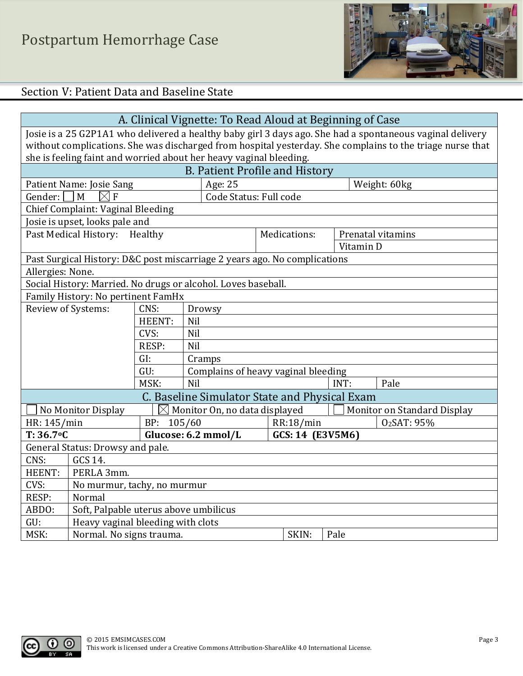

# Section V: Patient Data and Baseline State

| A. Clinical Vignette: To Read Aloud at Beginning of Case                                                  |                                                                                                   |               |                                                                           |  |              |      |           |                         |
|-----------------------------------------------------------------------------------------------------------|---------------------------------------------------------------------------------------------------|---------------|---------------------------------------------------------------------------|--|--------------|------|-----------|-------------------------|
| Josie is a 25 G2P1A1 who delivered a healthy baby girl 3 days ago. She had a spontaneous vaginal delivery |                                                                                                   |               |                                                                           |  |              |      |           |                         |
| without complications. She was discharged from hospital yesterday. She complains to the triage nurse that |                                                                                                   |               |                                                                           |  |              |      |           |                         |
|                                                                                                           | she is feeling faint and worried about her heavy vaginal bleeding.                                |               |                                                                           |  |              |      |           |                         |
|                                                                                                           |                                                                                                   |               | <b>B. Patient Profile and History</b>                                     |  |              |      |           |                         |
|                                                                                                           | Patient Name: Josie Sang                                                                          |               | Age: 25                                                                   |  |              |      |           | Weight: 60kg            |
| Gender:                                                                                                   | $\overline{F}$<br>M<br>$\bowtie$                                                                  |               | Code Status: Full code                                                    |  |              |      |           |                         |
|                                                                                                           | Chief Complaint: Vaginal Bleeding                                                                 |               |                                                                           |  |              |      |           |                         |
|                                                                                                           | Josie is upset, looks pale and                                                                    |               |                                                                           |  |              |      |           |                         |
|                                                                                                           | Past Medical History:                                                                             | Healthy       |                                                                           |  | Medications: |      |           | Prenatal vitamins       |
|                                                                                                           |                                                                                                   |               |                                                                           |  |              |      | Vitamin D |                         |
|                                                                                                           |                                                                                                   |               | Past Surgical History: D&C post miscarriage 2 years ago. No complications |  |              |      |           |                         |
| Allergies: None.                                                                                          |                                                                                                   |               |                                                                           |  |              |      |           |                         |
|                                                                                                           |                                                                                                   |               | Social History: Married. No drugs or alcohol. Loves baseball.             |  |              |      |           |                         |
|                                                                                                           | Family History: No pertinent FamHx                                                                |               |                                                                           |  |              |      |           |                         |
| Review of Systems:                                                                                        |                                                                                                   | CNS:          | Drowsy                                                                    |  |              |      |           |                         |
|                                                                                                           |                                                                                                   | HEENT:        | Nil                                                                       |  |              |      |           |                         |
|                                                                                                           |                                                                                                   | CVS:          | Nil                                                                       |  |              |      |           |                         |
| RESP:<br>Nil                                                                                              |                                                                                                   |               |                                                                           |  |              |      |           |                         |
|                                                                                                           |                                                                                                   | GI:           | Cramps                                                                    |  |              |      |           |                         |
|                                                                                                           |                                                                                                   | GU:           | Complains of heavy vaginal bleeding                                       |  |              |      |           |                         |
|                                                                                                           |                                                                                                   | MSK:          | Nil                                                                       |  |              | INT: |           | Pale                    |
|                                                                                                           |                                                                                                   |               | C. Baseline Simulator State and Physical Exam                             |  |              |      |           |                         |
|                                                                                                           | Monitor On, no data displayed<br>No Monitor Display<br>$\boxtimes$<br>Monitor on Standard Display |               |                                                                           |  |              |      |           |                         |
| HR: 145/min                                                                                               |                                                                                                   | 105/60<br>BP: |                                                                           |  | RR:18/min    |      |           | O <sub>2</sub> SAT: 95% |
| $T: 36.7$ °C                                                                                              | Glucose: 6.2 mmol/L<br>GCS: 14 (E3V5M6)                                                           |               |                                                                           |  |              |      |           |                         |
| General Status: Drowsy and pale.                                                                          |                                                                                                   |               |                                                                           |  |              |      |           |                         |
| CNS:                                                                                                      | GCS 14.                                                                                           |               |                                                                           |  |              |      |           |                         |
| HEENT:                                                                                                    | PERLA 3mm.                                                                                        |               |                                                                           |  |              |      |           |                         |
| CVS:                                                                                                      | No murmur, tachy, no murmur                                                                       |               |                                                                           |  |              |      |           |                         |
| RESP:                                                                                                     | Normal                                                                                            |               |                                                                           |  |              |      |           |                         |
| ABDO:                                                                                                     | Soft, Palpable uterus above umbilicus                                                             |               |                                                                           |  |              |      |           |                         |
| GU:                                                                                                       | Heavy vaginal bleeding with clots                                                                 |               |                                                                           |  |              |      |           |                         |
| MSK:                                                                                                      | Normal. No signs trauma.<br>SKIN:<br>Pale                                                         |               |                                                                           |  |              |      |           |                         |



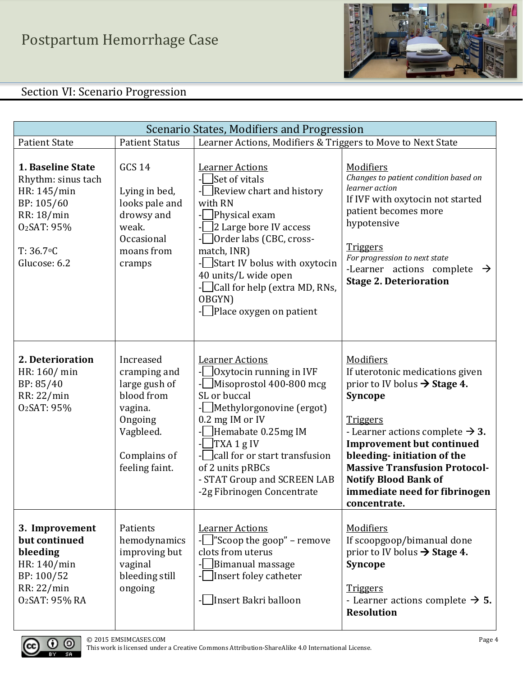

# Section VI: Scenario Progression

| Scenario States, Modifiers and Progression                                                                                                    |                                                                                                                               |                                                                                                                                                                                                                                                                                                           |                                                                                                                                                                                                                                                                                                                                                                 |  |
|-----------------------------------------------------------------------------------------------------------------------------------------------|-------------------------------------------------------------------------------------------------------------------------------|-----------------------------------------------------------------------------------------------------------------------------------------------------------------------------------------------------------------------------------------------------------------------------------------------------------|-----------------------------------------------------------------------------------------------------------------------------------------------------------------------------------------------------------------------------------------------------------------------------------------------------------------------------------------------------------------|--|
| <b>Patient State</b>                                                                                                                          | <b>Patient Status</b>                                                                                                         | Learner Actions, Modifiers & Triggers to Move to Next State                                                                                                                                                                                                                                               |                                                                                                                                                                                                                                                                                                                                                                 |  |
| 1. Baseline State<br>Rhythm: sinus tach<br>HR: 145/min<br>BP: 105/60<br>RR: 18/min<br>O <sub>2</sub> SAT: 95%<br>$T: 36.7$ °C<br>Glucose: 6.2 | <b>GCS 14</b><br>Lying in bed,<br>looks pale and<br>drowsy and<br>weak.<br>Occasional<br>moans from<br>cramps                 | <b>Learner Actions</b><br>Set of vitals<br>Review chart and history<br>with RN<br>Physical exam<br>2 Large bore IV access<br>Order labs (CBC, cross-<br>match, INR)<br>-Start IV bolus with oxytocin<br>40 units/L wide open<br>- Call for help (extra MD, RNs,<br>OBGYN)<br>- Place oxygen on patient    | Modifiers<br>Changes to patient condition based on<br>learner action<br>If IVF with oxytocin not started<br>patient becomes more<br>hypotensive<br><b>Triggers</b><br>For progression to next state<br>-Learner actions complete<br>$\rightarrow$<br><b>Stage 2. Deterioration</b>                                                                              |  |
| 2. Deterioration<br>HR: 160/ min<br>BP: 85/40<br>RR: 22/min<br>O <sub>2</sub> SAT: 95%                                                        | Increased<br>cramping and<br>large gush of<br>blood from<br>vagina.<br>Ongoing<br>Vagbleed.<br>Complains of<br>feeling faint. | <b>Learner Actions</b><br>Oxytocin running in IVF<br>Misoprostol 400-800 mcg<br>SL or buccal<br>Methylorgonovine (ergot)<br>0.2 mg IM or IV<br>Hemabate 0.25mg IM<br>$\vert$ TXA 1 g IV<br>call for or start transfusion<br>of 2 units pRBCs<br>- STAT Group and SCREEN LAB<br>-2g Fibrinogen Concentrate | Modifiers<br>If uterotonic medications given<br>prior to IV bolus $\rightarrow$ Stage 4.<br>Syncope<br><b>Triggers</b><br>- Learner actions complete $\rightarrow$ 3.<br><b>Improvement but continued</b><br>bleeding-initiation of the<br><b>Massive Transfusion Protocol-</b><br><b>Notify Blood Bank of</b><br>immediate need for fibrinogen<br>concentrate. |  |
| 3. Improvement<br>but continued<br>bleeding<br>HR: 140/min<br>BP: 100/52<br>RR: 22/min<br>02SAT: 95% RA                                       | Patients<br>hemodynamics<br>improving but<br>vaginal<br>bleeding still<br>ongoing                                             | <b>Learner Actions</b><br>$\lceil$ "Scoop the goop" – remove<br>clots from uterus<br>Bimanual massage<br>Insert foley catheter<br>Insert Bakri balloon                                                                                                                                                    | <b>Modifiers</b><br>If scoopgoop/bimanual done<br>prior to IV bolus $\rightarrow$ Stage 4.<br>Syncope<br><b>Triggers</b><br>- Learner actions complete $\rightarrow$ 5.<br><b>Resolution</b>                                                                                                                                                                    |  |

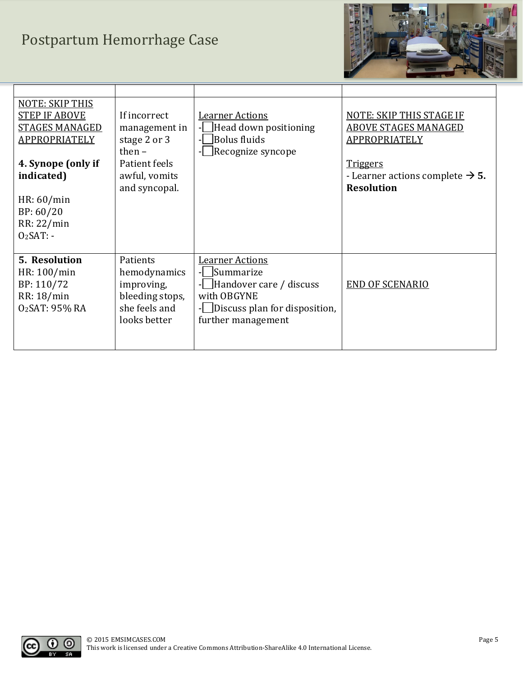# Postpartum Hemorrhage Case



| <b>NOTE: SKIP THIS</b><br><b>STEP IF ABOVE</b><br><b>STAGES MANAGED</b><br>APPROPRIATELY<br>4. Synope (only if<br>indicated)<br>HR: 60/min<br>BP: 60/20<br>RR: 22/min<br>$O2SAT: -$ | If incorrect<br>management in<br>stage 2 or 3<br>then $-$<br>Patient feels<br>awful, vomits<br>and syncopal. | <b>Learner Actions</b><br>Head down positioning<br>Bolus fluids<br>Recognize syncope                                                 | NOTE: SKIP THIS STAGE IF<br><b>ABOVE STAGES MANAGED</b><br>APPROPRIATELY<br><b>Triggers</b><br>- Learner actions complete $\rightarrow$ 5.<br><b>Resolution</b> |
|-------------------------------------------------------------------------------------------------------------------------------------------------------------------------------------|--------------------------------------------------------------------------------------------------------------|--------------------------------------------------------------------------------------------------------------------------------------|-----------------------------------------------------------------------------------------------------------------------------------------------------------------|
| <b>5. Resolution</b><br>HR: 100/min<br>BP: 110/72<br>RR: 18/min<br>O <sub>2</sub> SAT: 95% RA                                                                                       | Patients<br>hemodynamics<br>improving,<br>bleeding stops,<br>she feels and<br>looks better                   | <b>Learner Actions</b><br>Summarize<br>Handover care / discuss<br>with OBGYNE<br>Discuss plan for disposition,<br>further management | <b>END OF SCENARIO</b>                                                                                                                                          |

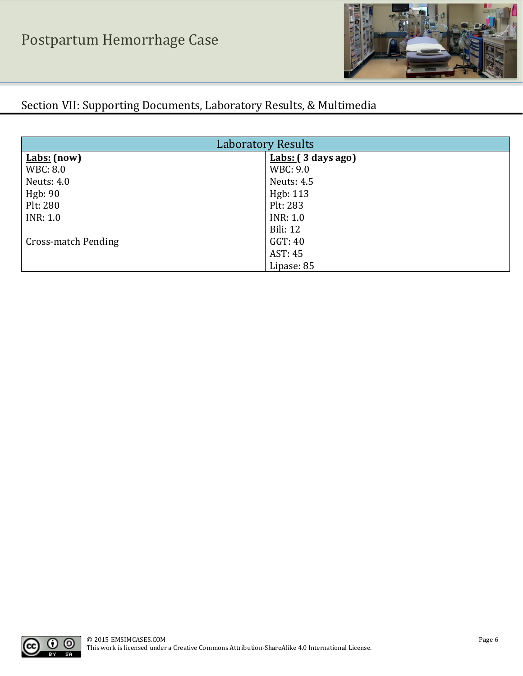

# Section VII: Supporting Documents, Laboratory Results, & Multimedia

| <b>Laboratory Results</b> |                       |  |  |  |
|---------------------------|-----------------------|--|--|--|
| $Labs: (now)$             | $ Labs: (3 days ago)$ |  |  |  |
| WBC: 8.0                  | WBC: 9.0              |  |  |  |
| <b>Neuts: 4.0</b>         | <b>Neuts: 4.5</b>     |  |  |  |
| Hgb: 90                   | Hgb: 113              |  |  |  |
| Plt: 280                  | Plt: 283              |  |  |  |
| <b>INR</b> : 1.0          | <b>INR</b> : 1.0      |  |  |  |
|                           | <b>Bili: 12</b>       |  |  |  |
| Cross-match Pending       | GGT: 40               |  |  |  |
|                           | AST: 45               |  |  |  |
|                           | Lipase: 85            |  |  |  |